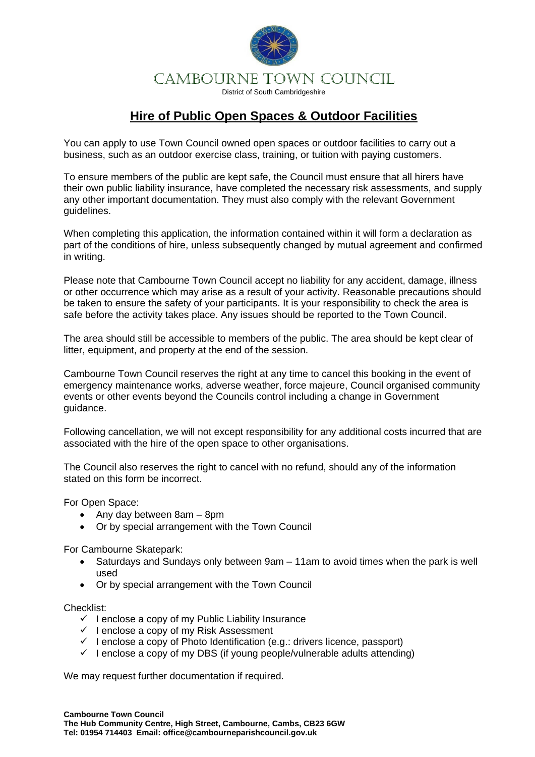

## **Hire of Public Open Spaces & Outdoor Facilities**

You can apply to use Town Council owned open spaces or outdoor facilities to carry out a business, such as an outdoor exercise class, training, or tuition with paying customers.

To ensure members of the public are kept safe, the Council must ensure that all hirers have their own public liability insurance, have completed the necessary risk assessments, and supply any other important documentation. They must also comply with the relevant Government guidelines.

When completing this application, the information contained within it will form a declaration as part of the conditions of hire, unless subsequently changed by mutual agreement and confirmed in writing.

Please note that Cambourne Town Council accept no liability for any accident, damage, illness or other occurrence which may arise as a result of your activity. Reasonable precautions should be taken to ensure the safety of your participants. It is your responsibility to check the area is safe before the activity takes place. Any issues should be reported to the Town Council.

The area should still be accessible to members of the public. The area should be kept clear of litter, equipment, and property at the end of the session.

Cambourne Town Council reserves the right at any time to cancel this booking in the event of emergency maintenance works, adverse weather, force majeure, Council organised community events or other events beyond the Councils control including a change in Government guidance.

Following cancellation, we will not except responsibility for any additional costs incurred that are associated with the hire of the open space to other organisations.

The Council also reserves the right to cancel with no refund, should any of the information stated on this form be incorrect.

For Open Space:

- Any day between 8am 8pm
- Or by special arrangement with the Town Council

For Cambourne Skatepark:

- Saturdays and Sundays only between 9am 11am to avoid times when the park is well used
- Or by special arrangement with the Town Council

Checklist:

- $\checkmark$  I enclose a copy of my Public Liability Insurance
- ✓ I enclose a copy of my Risk Assessment
- $\checkmark$  I enclose a copy of Photo Identification (e.g.: drivers licence, passport)
- $\checkmark$  I enclose a copy of my DBS (if young people/vulnerable adults attending)

We may request further documentation if required.